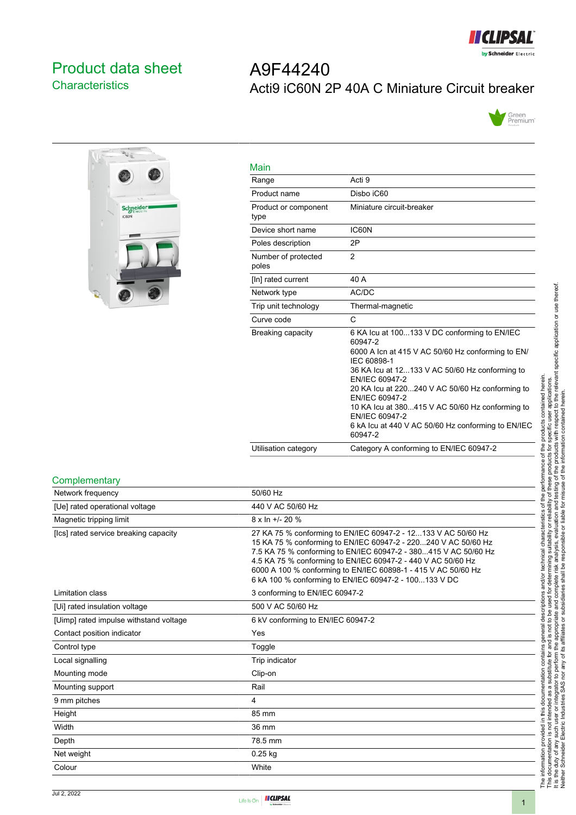

# <span id="page-0-0"></span>Product data sheet **Characteristics**

# A9F44240 Acti9 iC60N 2P 40A C Miniature Circuit breaker





| Main                         |                                                                                                                                                                                                                                                                                                                                                                                                            |
|------------------------------|------------------------------------------------------------------------------------------------------------------------------------------------------------------------------------------------------------------------------------------------------------------------------------------------------------------------------------------------------------------------------------------------------------|
| Range                        | Acti 9                                                                                                                                                                                                                                                                                                                                                                                                     |
| Product name                 | Disbo iC60                                                                                                                                                                                                                                                                                                                                                                                                 |
| Product or component<br>type | Miniature circuit-breaker                                                                                                                                                                                                                                                                                                                                                                                  |
| Device short name            | IC60N                                                                                                                                                                                                                                                                                                                                                                                                      |
| Poles description            | 2P                                                                                                                                                                                                                                                                                                                                                                                                         |
| Number of protected<br>poles | $\overline{2}$                                                                                                                                                                                                                                                                                                                                                                                             |
| [In] rated current           | 40 A                                                                                                                                                                                                                                                                                                                                                                                                       |
| Network type                 | AC/DC                                                                                                                                                                                                                                                                                                                                                                                                      |
| Trip unit technology         | Thermal-magnetic                                                                                                                                                                                                                                                                                                                                                                                           |
| Curve code                   | C                                                                                                                                                                                                                                                                                                                                                                                                          |
| Breaking capacity            | 6 KA Icu at 100133 V DC conforming to EN/IEC<br>60947-2<br>6000 A Icn at 415 V AC 50/60 Hz conforming to EN/<br>IEC 60898-1<br>36 KA Icu at 12133 V AC 50/60 Hz conforming to<br>EN/IEC 60947-2<br>20 KA Icu at 220240 V AC 50/60 Hz conforming to<br>EN/IEC 60947-2<br>10 KA lcu at 380415 V AC 50/60 Hz conforming to<br>EN/IEC 60947-2<br>6 kA lcu at 440 V AC 50/60 Hz conforming to EN/IEC<br>60947-2 |
| Utilisation category         | Category A conforming to EN/IEC 60947-2                                                                                                                                                                                                                                                                                                                                                                    |

#### **Complementary**

| Network frequency                      | 50/60 Hz                                                                                                                                                                                                                                                                                                                                                                                     |
|----------------------------------------|----------------------------------------------------------------------------------------------------------------------------------------------------------------------------------------------------------------------------------------------------------------------------------------------------------------------------------------------------------------------------------------------|
| [Ue] rated operational voltage         | 440 V AC 50/60 Hz                                                                                                                                                                                                                                                                                                                                                                            |
| Magnetic tripping limit                | $8 \times \ln +1$ - 20 %                                                                                                                                                                                                                                                                                                                                                                     |
| [Ics] rated service breaking capacity  | 27 KA 75 % conforming to EN/IEC 60947-2 - 12133 V AC 50/60 Hz<br>15 KA 75 % conforming to EN/IEC 60947-2 - 220240 V AC 50/60 Hz<br>7.5 KA 75 % conforming to EN/IEC 60947-2 - 380415 V AC 50/60 Hz<br>4.5 KA 75 % conforming to EN/IEC 60947-2 - 440 V AC 50/60 Hz<br>6000 A 100 % conforming to EN/IEC 60898-1 - 415 V AC 50/60 Hz<br>6 kA 100 % conforming to EN/IEC 60947-2 - 100133 V DC |
| Limitation class                       | 3 conforming to EN/IEC 60947-2                                                                                                                                                                                                                                                                                                                                                               |
| [Ui] rated insulation voltage          | 500 V AC 50/60 Hz                                                                                                                                                                                                                                                                                                                                                                            |
| [Uimp] rated impulse withstand voltage | 6 kV conforming to EN/IEC 60947-2                                                                                                                                                                                                                                                                                                                                                            |
| Contact position indicator             | Yes                                                                                                                                                                                                                                                                                                                                                                                          |
| Control type                           | Toggle                                                                                                                                                                                                                                                                                                                                                                                       |
| Local signalling                       | Trip indicator                                                                                                                                                                                                                                                                                                                                                                               |
| Mounting mode                          | Clip-on                                                                                                                                                                                                                                                                                                                                                                                      |
| Mounting support                       | Rail                                                                                                                                                                                                                                                                                                                                                                                         |
| 9 mm pitches                           | 4                                                                                                                                                                                                                                                                                                                                                                                            |
| Height                                 | 85 mm                                                                                                                                                                                                                                                                                                                                                                                        |
| Width                                  | 36 mm                                                                                                                                                                                                                                                                                                                                                                                        |
| Depth                                  | 78.5 mm                                                                                                                                                                                                                                                                                                                                                                                      |
| Net weight                             | $0.25$ kg                                                                                                                                                                                                                                                                                                                                                                                    |
| Colour                                 | White                                                                                                                                                                                                                                                                                                                                                                                        |